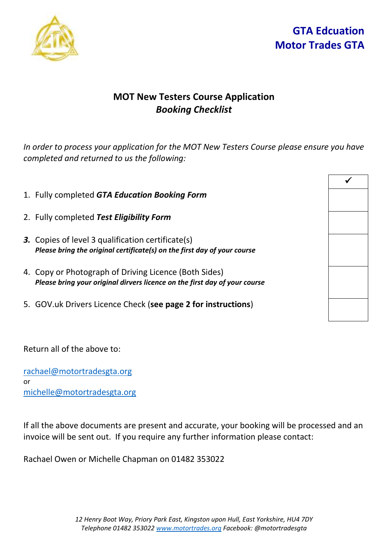



## **MOT New Testers Course Application** *Booking Checklist*

*In order to process your application for the MOT New Testers Course please ensure you have completed and returned to us the following:* 

- 1. Fully completed *GTA Education Booking Form*
- 2. Fully completed *Test Eligibility Form*
- *3.* Copies of level 3 qualification certificate(s) *Please bring the original certificate(s) on the first day of your course*
- 4. Copy or Photograph of Driving Licence (Both Sides) *Please bring your original dirvers licence on the first day of your course*
- 5. GOV.uk Drivers Licence Check (**see page 2 for instructions**)

Return all of the above to:

[rachael@motortradesgta.org](mailto:rachael@motortradesgta.org) or michelle@motortradesgta.org

If all the above documents are present and accurate, your booking will be processed and an invoice will be sent out. If you require any further information please contact:

Rachael Owen or Michelle Chapman on 01482 353022

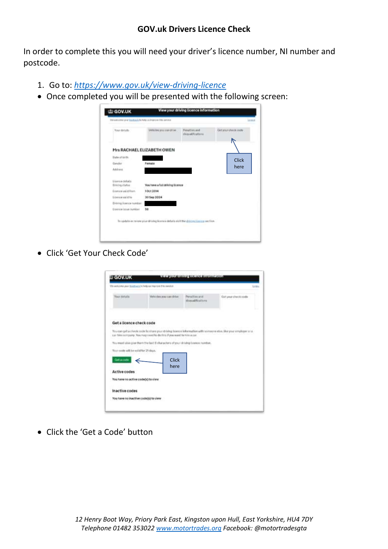## **GOV.uk Drivers Licence Check**

In order to complete this you will need your driver's licence number, NI number and postcode.

- 1. Go to: *<https://www.gov.uk/view-driving-licence>*
- Once completed you will be presented with the following screen:



Click 'Get Your Check Code'

|                                      | We welcome your black act help us required this excels.                                                                                                                               |                                     | Links                |
|--------------------------------------|---------------------------------------------------------------------------------------------------------------------------------------------------------------------------------------|-------------------------------------|----------------------|
| Your datalla                         | Vehicles you can drive                                                                                                                                                                | Percetting and<br>disycalitications | fiel your check code |
| Get a licence check code             |                                                                                                                                                                                       |                                     |                      |
|                                      | You can get a check code to share your driving Soerce Information with someone stop, like your employer or a<br>(u) him mitt pamp. You may need he do this if you want to kins a con- |                                     |                      |
|                                      | You must able give them the faid 11 characters of your driving boston rundler,                                                                                                        |                                     |                      |
|                                      |                                                                                                                                                                                       |                                     |                      |
| Weer-mode will be valid for 25 days. |                                                                                                                                                                                       |                                     |                      |
| Gétacote                             | Click                                                                                                                                                                                 |                                     |                      |
| Active codes                         | here                                                                                                                                                                                  |                                     |                      |
| You have no active code(s) to view   |                                                                                                                                                                                       |                                     |                      |
| Inactive codes                       |                                                                                                                                                                                       |                                     |                      |

Click the 'Get a Code' button